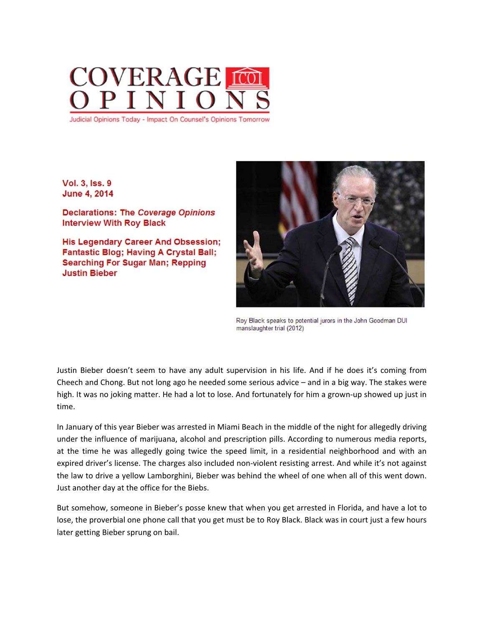

**Vol. 3, Iss. 9** 

June 4, 2014

**Declarations: The Coverage Opinions Interview With Roy Black** 

**His Legendary Career And Obsession; Fantastic Blog; Having A Crystal Ball; Searching For Sugar Man; Repping Justin Bieber** 



Roy Black speaks to potential jurors in the John Goodman DUI manslaughter trial (2012)

Justin Bieber doesn't seem to have any adult supervision in his life. And if he does it's coming from Cheech and Chong. But not long ago he needed some serious advice – and in a big way. The stakes were high. It was no joking matter. He had a lot to lose. And fortunately for him a grown-up showed up just in time.

In January of this year Bieber was arrested in Miami Beach in the middle of the night for allegedly driving under the influence of marijuana, alcohol and prescription pills. According to numerous media reports, at the time he was allegedly going twice the speed limit, in a residential neighborhood and with an expired driver's license. The charges also included non-violent resisting arrest. And while it's not against the law to drive a yellow Lamborghini, Bieber was behind the wheel of one when all of this went down. Just another day at the office for the Biebs.

But somehow, someone in Bieber's posse knew that when you get arrested in Florida, and have a lot to lose, the proverbial one phone call that you get must be to Roy Black. Black was in court just a few hours later getting Bieber sprung on bail.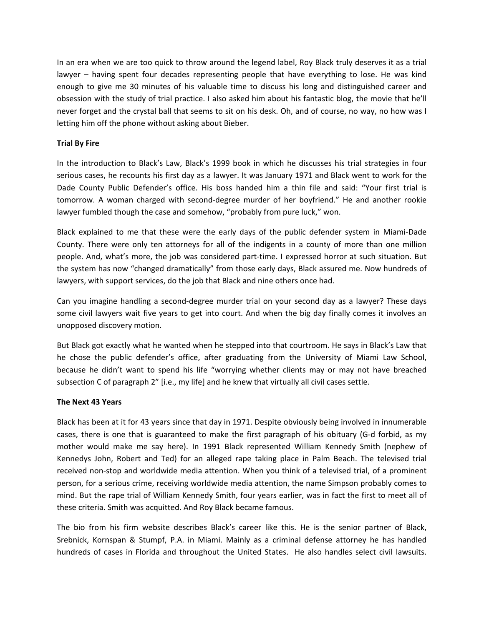In an era when we are too quick to throw around the legend label, Roy Black truly deserves it as a trial lawyer – having spent four decades representing people that have everything to lose. He was kind enough to give me 30 minutes of his valuable time to discuss his long and distinguished career and obsession with the study of trial practice. I also asked him about his fantastic blog, the movie that he'll never forget and the crystal ball that seems to sit on his desk. Oh, and of course, no way, no how was I letting him off the phone without asking about Bieber.

# **Trial By Fire**

In the introduction to Black's Law, Black's 1999 book in which he discusses his trial strategies in four serious cases, he recounts his first day as a lawyer. It was January 1971 and Black went to work for the Dade County Public Defender's office. His boss handed him a thin file and said: "Your first trial is tomorrow. A woman charged with second‐degree murder of her boyfriend." He and another rookie lawyer fumbled though the case and somehow, "probably from pure luck," won.

Black explained to me that these were the early days of the public defender system in Miami‐Dade County. There were only ten attorneys for all of the indigents in a county of more than one million people. And, what's more, the job was considered part-time. I expressed horror at such situation. But the system has now "changed dramatically" from those early days, Black assured me. Now hundreds of lawyers, with support services, do the job that Black and nine others once had.

Can you imagine handling a second‐degree murder trial on your second day as a lawyer? These days some civil lawyers wait five years to get into court. And when the big day finally comes it involves an unopposed discovery motion.

But Black got exactly what he wanted when he stepped into that courtroom. He says in Black's Law that he chose the public defender's office, after graduating from the University of Miami Law School, because he didn't want to spend his life "worrying whether clients may or may not have breached subsection C of paragraph 2" [i.e., my life] and he knew that virtually all civil cases settle.

## **The Next 43 Years**

Black has been at it for 43 years since that day in 1971. Despite obviously being involved in innumerable cases, there is one that is guaranteed to make the first paragraph of his obituary (G‐d forbid, as my mother would make me say here). In 1991 Black represented William Kennedy Smith (nephew of Kennedys John, Robert and Ted) for an alleged rape taking place in Palm Beach. The televised trial received non‐stop and worldwide media attention. When you think of a televised trial, of a prominent person, for a serious crime, receiving worldwide media attention, the name Simpson probably comes to mind. But the rape trial of William Kennedy Smith, four years earlier, was in fact the first to meet all of these criteria. Smith was acquitted. And Roy Black became famous.

The bio from his firm website describes Black's career like this. He is the senior partner of Black, Srebnick, Kornspan & Stumpf, P.A. in Miami. Mainly as a criminal defense attorney he has handled hundreds of cases in Florida and throughout the United States. He also handles select civil lawsuits.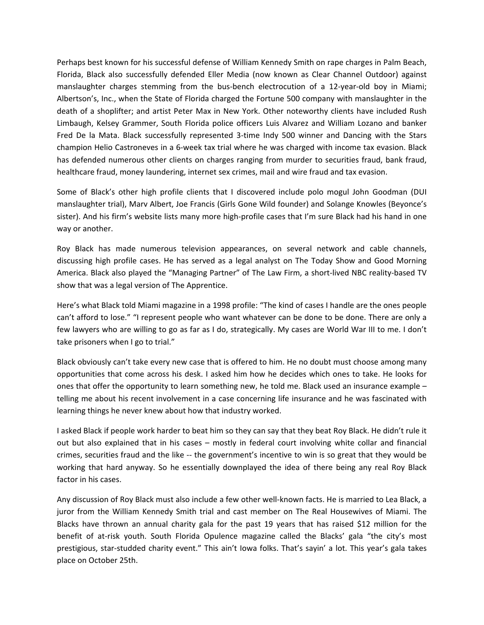Perhaps best known for his successful defense of William Kennedy Smith on rape charges in Palm Beach, Florida, Black also successfully defended Eller Media (now known as Clear Channel Outdoor) against manslaughter charges stemming from the bus-bench electrocution of a 12-year-old boy in Miami; Albertson's, Inc., when the State of Florida charged the Fortune 500 company with manslaughter in the death of a shoplifter; and artist Peter Max in New York. Other noteworthy clients have included Rush Limbaugh, Kelsey Grammer, South Florida police officers Luis Alvarez and William Lozano and banker Fred De la Mata. Black successfully represented 3‐time Indy 500 winner and Dancing with the Stars champion Helio Castroneves in a 6‐week tax trial where he was charged with income tax evasion. Black has defended numerous other clients on charges ranging from murder to securities fraud, bank fraud, healthcare fraud, money laundering, internet sex crimes, mail and wire fraud and tax evasion.

Some of Black's other high profile clients that I discovered include polo mogul John Goodman (DUI manslaughter trial), Marv Albert, Joe Francis (Girls Gone Wild founder) and Solange Knowles (Beyonce's sister). And his firm's website lists many more high-profile cases that I'm sure Black had his hand in one way or another.

Roy Black has made numerous television appearances, on several network and cable channels, discussing high profile cases. He has served as a legal analyst on The Today Show and Good Morning America. Black also played the "Managing Partner" of The Law Firm, a short‐lived NBC reality‐based TV show that was a legal version of The Apprentice.

Here's what Black told Miami magazine in a 1998 profile: "The kind of cases I handle are the ones people can't afford to lose." "I represent people who want whatever can be done to be done. There are only a few lawyers who are willing to go as far as I do, strategically. My cases are World War III to me. I don't take prisoners when I go to trial."

Black obviously can't take every new case that is offered to him. He no doubt must choose among many opportunities that come across his desk. I asked him how he decides which ones to take. He looks for ones that offer the opportunity to learn something new, he told me. Black used an insurance example – telling me about his recent involvement in a case concerning life insurance and he was fascinated with learning things he never knew about how that industry worked.

I asked Black if people work harder to beat him so they can say that they beat Roy Black. He didn't rule it out but also explained that in his cases – mostly in federal court involving white collar and financial crimes, securities fraud and the like ‐‐ the government's incentive to win is so great that they would be working that hard anyway. So he essentially downplayed the idea of there being any real Roy Black factor in his cases.

Any discussion of Roy Black must also include a few other well‐known facts. He is married to Lea Black, a juror from the William Kennedy Smith trial and cast member on The Real Housewives of Miami. The Blacks have thrown an annual charity gala for the past 19 years that has raised \$12 million for the benefit of at-risk youth. South Florida Opulence magazine called the Blacks' gala "the city's most prestigious, star‐studded charity event." This ain't Iowa folks. That's sayin' a lot. This year's gala takes place on October 25th.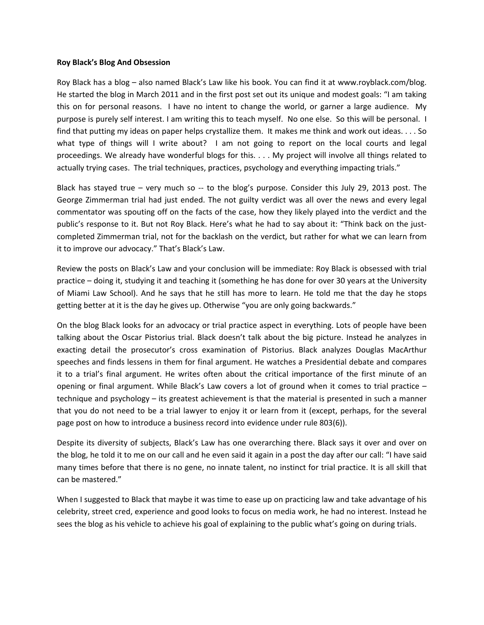### **Roy Black's Blog And Obsession**

Roy Black has a blog – also named Black's Law like his book. You can find it at www.royblack.com/blog. He started the blog in March 2011 and in the first post set out its unique and modest goals: "I am taking this on for personal reasons. I have no intent to change the world, or garner a large audience. My purpose is purely self interest. I am writing this to teach myself. No one else. So this will be personal. I find that putting my ideas on paper helps crystallize them. It makes me think and work out ideas. . . . So what type of things will I write about? I am not going to report on the local courts and legal proceedings. We already have wonderful blogs for this. . . . My project will involve all things related to actually trying cases. The trial techniques, practices, psychology and everything impacting trials."

Black has stayed true – very much so -- to the blog's purpose. Consider this July 29, 2013 post. The George Zimmerman trial had just ended. The not guilty verdict was all over the news and every legal commentator was spouting off on the facts of the case, how they likely played into the verdict and the public's response to it. But not Roy Black. Here's what he had to say about it: "Think back on the justcompleted Zimmerman trial, not for the backlash on the verdict, but rather for what we can learn from it to improve our advocacy." That's Black's Law.

Review the posts on Black's Law and your conclusion will be immediate: Roy Black is obsessed with trial practice – doing it, studying it and teaching it (something he has done for over 30 years at the University of Miami Law School). And he says that he still has more to learn. He told me that the day he stops getting better at it is the day he gives up. Otherwise "you are only going backwards."

On the blog Black looks for an advocacy or trial practice aspect in everything. Lots of people have been talking about the Oscar Pistorius trial. Black doesn't talk about the big picture. Instead he analyzes in exacting detail the prosecutor's cross examination of Pistorius. Black analyzes Douglas MacArthur speeches and finds lessens in them for final argument. He watches a Presidential debate and compares it to a trial's final argument. He writes often about the critical importance of the first minute of an opening or final argument. While Black's Law covers a lot of ground when it comes to trial practice – technique and psychology – its greatest achievement is that the material is presented in such a manner that you do not need to be a trial lawyer to enjoy it or learn from it (except, perhaps, for the several page post on how to introduce a business record into evidence under rule 803(6)).

Despite its diversity of subjects, Black's Law has one overarching there. Black says it over and over on the blog, he told it to me on our call and he even said it again in a post the day after our call: "I have said many times before that there is no gene, no innate talent, no instinct for trial practice. It is all skill that can be mastered."

When I suggested to Black that maybe it was time to ease up on practicing law and take advantage of his celebrity, street cred, experience and good looks to focus on media work, he had no interest. Instead he sees the blog as his vehicle to achieve his goal of explaining to the public what's going on during trials.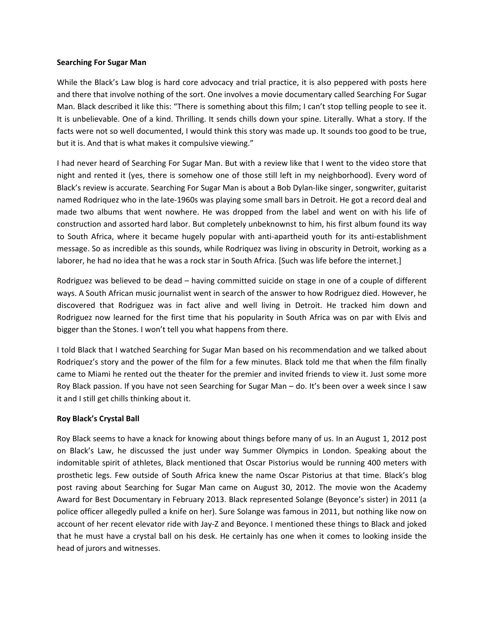### **Searching For Sugar Man**

While the Black's Law blog is hard core advocacy and trial practice, it is also peppered with posts here and there that involve nothing of the sort. One involves a movie documentary called Searching For Sugar Man. Black described it like this: "There is something about this film; I can't stop telling people to see it. It is unbelievable. One of a kind. Thrilling. It sends chills down your spine. Literally. What a story. If the facts were not so well documented, I would think this story was made up. It sounds too good to be true, but it is. And that is what makes it compulsive viewing."

I had never heard of Searching For Sugar Man. But with a review like that I went to the video store that night and rented it (yes, there is somehow one of those still left in my neighborhood). Every word of Black's review is accurate. Searching For Sugar Man is about a Bob Dylan‐like singer, songwriter, guitarist named Rodriquez who in the late‐1960s was playing some small bars in Detroit. He got a record deal and made two albums that went nowhere. He was dropped from the label and went on with his life of construction and assorted hard labor. But completely unbeknownst to him, his first album found its way to South Africa, where it became hugely popular with anti‐apartheid youth for its anti‐establishment message. So as incredible as this sounds, while Rodriquez was living in obscurity in Detroit, working as a laborer, he had no idea that he was a rock star in South Africa. [Such was life before the internet.]

Rodriguez was believed to be dead – having committed suicide on stage in one of a couple of different ways. A South African music journalist went in search of the answer to how Rodriguez died. However, he discovered that Rodriguez was in fact alive and well living in Detroit. He tracked him down and Rodriguez now learned for the first time that his popularity in South Africa was on par with Elvis and bigger than the Stones. I won't tell you what happens from there.

I told Black that I watched Searching for Sugar Man based on his recommendation and we talked about Rodriquez's story and the power of the film for a few minutes. Black told me that when the film finally came to Miami he rented out the theater for the premier and invited friends to view it. Just some more Roy Black passion. If you have not seen Searching for Sugar Man – do. It's been over a week since I saw it and I still get chills thinking about it.

## **Roy Black's Crystal Ball**

Roy Black seems to have a knack for knowing about things before many of us. In an August 1, 2012 post on Black's Law, he discussed the just under way Summer Olympics in London. Speaking about the indomitable spirit of athletes, Black mentioned that Oscar Pistorius would be running 400 meters with prosthetic legs. Few outside of South Africa knew the name Oscar Pistorius at that time. Black's blog post raving about Searching for Sugar Man came on August 30, 2012. The movie won the Academy Award for Best Documentary in February 2013. Black represented Solange (Beyonce's sister) in 2011 (a police officer allegedly pulled a knife on her). Sure Solange was famous in 2011, but nothing like now on account of her recent elevator ride with Jay‐Z and Beyonce. I mentioned these things to Black and joked that he must have a crystal ball on his desk. He certainly has one when it comes to looking inside the head of jurors and witnesses.